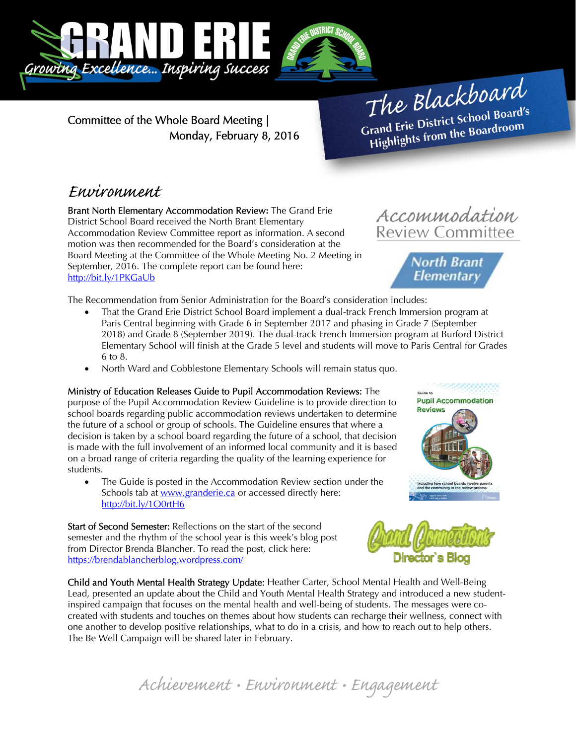

Committee of the Whole Board Meeting | Monday, February 8, 2016

The Blackboard The Burnor<br>Grand Erie District School Board's<br>Lite from the Boardroom rand Erie District School Board<br>Highlights from the Boardroom

Accommodation **Review Committee** 

> **North Brant Elementary**

## Environment

Brant North Elementary Accommodation Review**:** The Grand Erie District School Board received the North Brant Elementary Accommodation Review Committee report as information. A second motion was then recommended for the Board's consideration at the Board Meeting at the Committee of the Whole Meeting No. 2 Meeting in September, 2016. The complete report can be found here: http://bit.ly/1PKGaUb

The Recommendation from Senior Administration for the Board's consideration includes:

- That the Grand Erie District School Board implement a dual-track French Immersion program at Paris Central beginning with Grade 6 in September 2017 and phasing in Grade 7 (September 2018) and Grade 8 (September 2019). The dual-track French Immersion program at Burford District Elementary School will finish at the Grade 5 level and students will move to Paris Central for Grades 6 to 8.
- North Ward and Cobblestone Elementary Schools will remain status quo.

### Ministry of Education Releases Guide to Pupil Accommodation Reviews: The

purpose of the Pupil Accommodation Review Guideline is to provide direction to school boards regarding public accommodation reviews undertaken to determine the future of a school or group of schools. The Guideline ensures that where a decision is taken by a school board regarding the future of a school, that decision is made with the full involvement of an informed local community and it is based on a broad range of criteria regarding the quality of the learning experience for students.

 The Guide is posted in the Accommodation Review section under the Schools tab at www.granderie.ca or accessed directly here: http://bit.ly/1O0rtH6

Start of Second Semester: Reflections on the start of the second semester and the rhythm of the school year is this week's blog post from Director Brenda Blancher. To read the post, click here: https://brendablancherblog.wordpress.com/

Child and Youth Mental Health Strategy Update: Heather Carter, School Mental Health and Well-Being Lead, presented an update about the Child and Youth Mental Health Strategy and introduced a new studentinspired campaign that focuses on the mental health and well-being of students. The messages were cocreated with students and touches on themes about how students can recharge their wellness, connect with one another to develop positive relationships, what to do in a crisis, and how to reach out to help others. The Be Well Campaign will be shared later in February.





Achievement • Environment • Engagement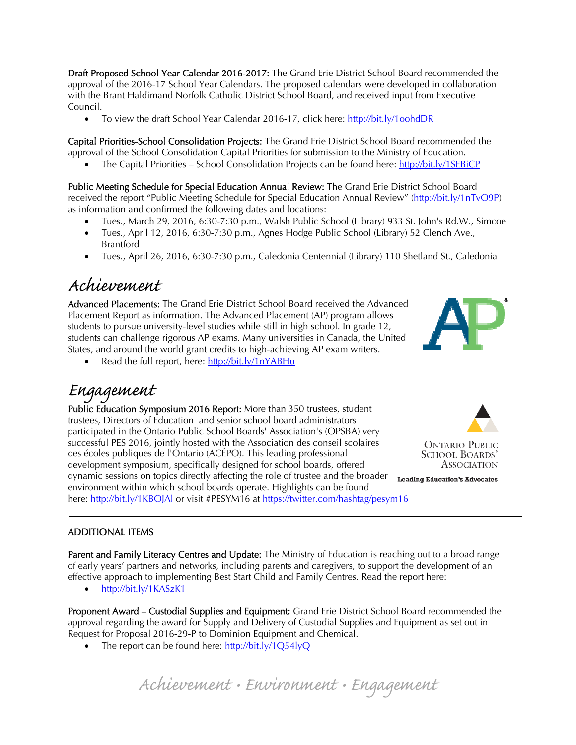Draft Proposed School Year Calendar 2016-2017: The Grand Erie District School Board recommended the approval of the 2016-17 School Year Calendars. The proposed calendars were developed in collaboration with the Brant Haldimand Norfolk Catholic District School Board, and received input from Executive Council.

To view the draft School Year Calendar 2016-17, click here: http://bit.ly/1oohdDR

Capital Priorities-School Consolidation Projects: The Grand Erie District School Board recommended the approval of the School Consolidation Capital Priorities for submission to the Ministry of Education.

• The Capital Priorities – School Consolidation Projects can be found here: http://bit.ly/1SEBiCP

Public Meeting Schedule for Special Education Annual Review: The Grand Erie District School Board received the report "Public Meeting Schedule for Special Education Annual Review" (http://bit.ly/1nTvO9P) as information and confirmed the following dates and locations:

- Tues., March 29, 2016, 6:30-7:30 p.m., Walsh Public School (Library) 933 St. John's Rd.W., Simcoe
- Tues., April 12, 2016, 6:30-7:30 p.m., Agnes Hodge Public School (Library) 52 Clench Ave., Brantford
- Tues., April 26, 2016, 6:30-7:30 p.m., Caledonia Centennial (Library) 110 Shetland St., Caledonia

### Achievement

Advanced Placements: The Grand Erie District School Board received the Advanced Placement Report as information. The Advanced Placement (AP) program allows students to pursue university-level studies while still in high school. In grade 12, students can challenge rigorous AP exams. Many universities in Canada, the United States, and around the world grant credits to high-achieving AP exam writers.

Read the full report, here: http://bit.ly/1nYABHu

# Engagement

Public Education Symposium 2016 Report: More than 350 trustees, student trustees, Directors of Education and senior school board administrators participated in the Ontario Public School Boards' Association's (OPSBA) very successful PES 2016, jointly hosted with the Association des conseil scolaires des écoles publiques de l'Ontario (ACÉPO). This leading professional development symposium, specifically designed for school boards, offered dynamic sessions on topics directly affecting the role of trustee and the broader environment within which school boards operate. Highlights can be found here: http://bit.ly/1KBOJAl or visit #PESYM16 at https://twitter.com/hashtag/pesym16



**ONTARIO PUBLIC SCHOOL BOARDS' ASSOCIATION** 

**Leading Education's Advocates** 

#### ADDITIONAL ITEMS

Parent and Family Literacy Centres and Update: The Ministry of Education is reaching out to a broad range of early years' partners and networks, including parents and caregivers, to support the development of an effective approach to implementing Best Start Child and Family Centres. Read the report here:

• http://bit.ly/1KASzK1

Proponent Award – Custodial Supplies and Equipment: Grand Erie District School Board recommended the approval regarding the award for Supply and Delivery of Custodial Supplies and Equipment as set out in Request for Proposal 2016-29-P to Dominion Equipment and Chemical.

• The report can be found here:  $\frac{http://bit.ly/1Q54lyQ}{$